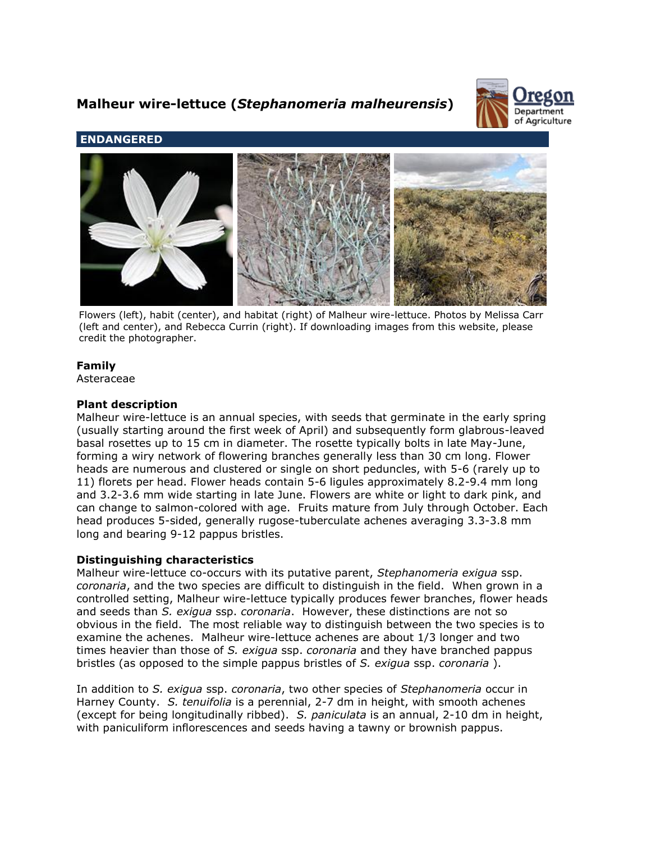# **Malheur wire-lettuce (***Stephanomeria malheurensis***)**



# **ENDANGERED**



Flowers (left), habit (center), and habitat (right) of Malheur wire-lettuce. Photos by Melissa Carr (left and center), and Rebecca Currin (right). If downloading images from this website, please credit the photographer.

# **Family**

Asteraceae

# **Plant description**

Malheur wire-lettuce is an annual species, with seeds that germinate in the early spring (usually starting around the first week of April) and subsequently form glabrous-leaved basal rosettes up to 15 cm in diameter. The rosette typically bolts in late May-June, forming a wiry network of flowering branches generally less than 30 cm long. Flower heads are numerous and clustered or single on short peduncles, with 5-6 (rarely up to 11) florets per head. Flower heads contain 5-6 ligules approximately 8.2-9.4 mm long and 3.2-3.6 mm wide starting in late June. Flowers are white or light to dark pink, and can change to salmon-colored with age. Fruits mature from July through October. Each head produces 5-sided, generally rugose-tuberculate achenes averaging 3.3-3.8 mm long and bearing 9-12 pappus bristles.

# **Distinguishing characteristics**

Malheur wire-lettuce co-occurs with its putative parent, *Stephanomeria exigua* ssp. *coronaria*, and the two species are difficult to distinguish in the field. When grown in a controlled setting, Malheur wire-lettuce typically produces fewer branches, flower heads and seeds than *S. exigua* ssp. *coronaria*. However, these distinctions are not so obvious in the field. The most reliable way to distinguish between the two species is to examine the achenes. Malheur wire-lettuce achenes are about 1/3 longer and two times heavier than those of *S. exigua* ssp. *coronaria* and they have branched pappus bristles (as opposed to the simple pappus bristles of *S. exigua* ssp. *coronaria* ).

In addition to *S. exigua* ssp. *coronaria*, two other species of *Stephanomeria* occur in Harney County. *S. tenuifolia* is a perennial, 2-7 dm in height, with smooth achenes (except for being longitudinally ribbed). *S. paniculata* is an annual, 2-10 dm in height, with paniculiform inflorescences and seeds having a tawny or brownish pappus.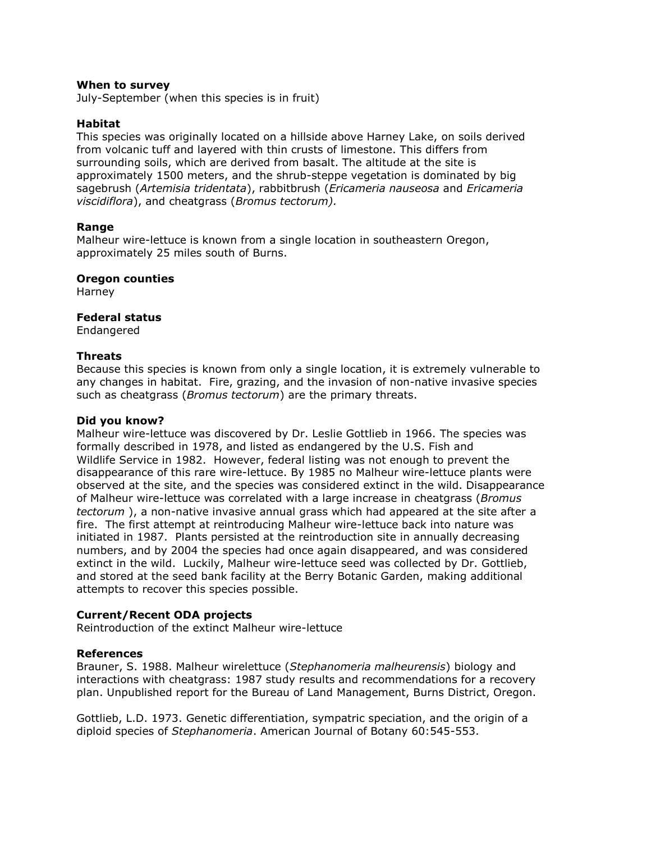## **When to survey**

July-September (when this species is in fruit)

## **Habitat**

This species was originally located on a hillside above Harney Lake, on soils derived from volcanic tuff and layered with thin crusts of limestone. This differs from surrounding soils, which are derived from basalt. The altitude at the site is approximately 1500 meters, and the shrub-steppe vegetation is dominated by big sagebrush (*Artemisia tridentata*), rabbitbrush (*Ericameria nauseosa* and *Ericameria viscidiflora*), and cheatgrass (*Bromus tectorum).*

## **Range**

Malheur wire-lettuce is known from a single location in southeastern Oregon, approximately 25 miles south of Burns.

#### **Oregon counties**

Harney

#### **Federal status**

Endangered

## **Threats**

Because this species is known from only a single location, it is extremely vulnerable to any changes in habitat. Fire, grazing, and the invasion of non-native invasive species such as cheatgrass (*Bromus tectorum*) are the primary threats.

## **Did you know?**

Malheur wire-lettuce was discovered by Dr. Leslie Gottlieb in 1966. The species was formally described in 1978, and listed as endangered by the U.S. Fish and Wildlife Service in 1982. However, federal listing was not enough to prevent the disappearance of this rare wire-lettuce. By 1985 no Malheur wire-lettuce plants were observed at the site, and the species was considered extinct in the wild. Disappearance of Malheur wire-lettuce was correlated with a large increase in cheatgrass (*Bromus tectorum* ), a non-native invasive annual grass which had appeared at the site after a fire. The first attempt at reintroducing Malheur wire-lettuce back into nature was initiated in 1987. Plants persisted at the reintroduction site in annually decreasing numbers, and by 2004 the species had once again disappeared, and was considered extinct in the wild. Luckily, Malheur wire-lettuce seed was collected by Dr. Gottlieb, and stored at the seed bank facility at the Berry Botanic Garden, making additional attempts to recover this species possible.

#### **Current/Recent ODA projects**

Reintroduction of the extinct Malheur wire-lettuce

#### **References**

Brauner, S. 1988. Malheur wirelettuce (*Stephanomeria malheurensis*) biology and interactions with cheatgrass: 1987 study results and recommendations for a recovery plan. Unpublished report for the Bureau of Land Management, Burns District, Oregon.

Gottlieb, L.D. 1973. Genetic differentiation, sympatric speciation, and the origin of a diploid species of *Stephanomeria*. American Journal of Botany 60:545-553.